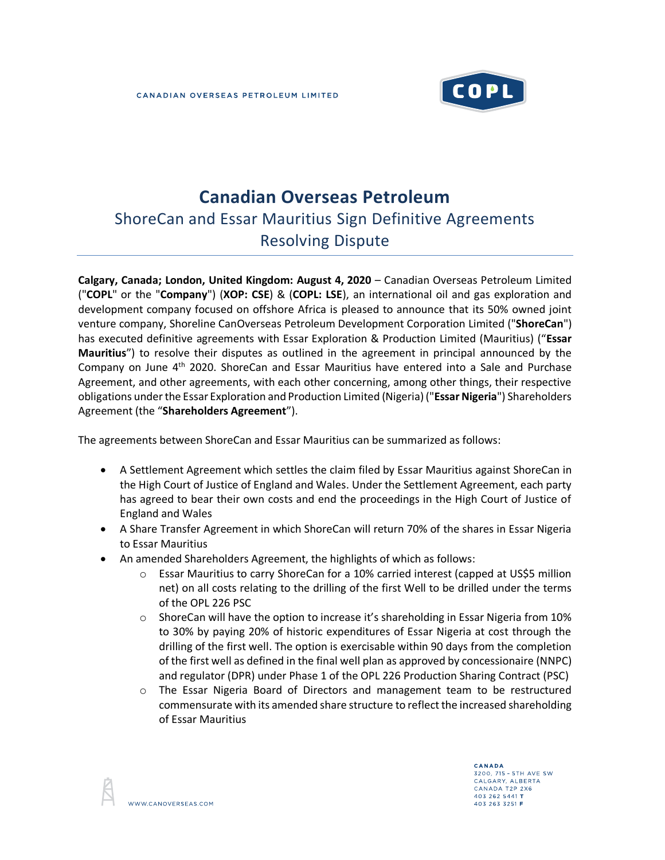

# **Canadian Overseas Petroleum**

## ShoreCan and Essar Mauritius Sign Definitive Agreements Resolving Dispute

**Calgary, Canada; London, United Kingdom: August 4, 2020** – Canadian Overseas Petroleum Limited ("**COPL**" or the "**Company**") (**XOP: CSE**) & (**COPL: LSE**), an international oil and gas exploration and development company focused on offshore Africa is pleased to announce that its 50% owned joint venture company, Shoreline CanOverseas Petroleum Development Corporation Limited ("**ShoreCan**") has executed definitive agreements with Essar Exploration & Production Limited (Mauritius) ("**Essar Mauritius**") to resolve their disputes as outlined in the agreement in principal announced by the Company on June 4th 2020. ShoreCan and Essar Mauritius have entered into a Sale and Purchase Agreement, and other agreements, with each other concerning, among other things, their respective obligations under the Essar Exploration and Production Limited (Nigeria) ("**Essar Nigeria**") Shareholders Agreement (the "**Shareholders Agreement**").

The agreements between ShoreCan and Essar Mauritius can be summarized as follows:

- A Settlement Agreement which settles the claim filed by Essar Mauritius against ShoreCan in the High Court of Justice of England and Wales. Under the Settlement Agreement, each party has agreed to bear their own costs and end the proceedings in the High Court of Justice of England and Wales
- A Share Transfer Agreement in which ShoreCan will return 70% of the shares in Essar Nigeria to Essar Mauritius
- An amended Shareholders Agreement, the highlights of which as follows:
	- o Essar Mauritius to carry ShoreCan for a 10% carried interest (capped at US\$5 million net) on all costs relating to the drilling of the first Well to be drilled under the terms of the OPL 226 PSC
	- $\circ$  ShoreCan will have the option to increase it's shareholding in Essar Nigeria from 10% to 30% by paying 20% of historic expenditures of Essar Nigeria at cost through the drilling of the first well. The option is exercisable within 90 days from the completion of the first well as defined in the final well plan as approved by concessionaire (NNPC) and regulator (DPR) under Phase 1 of the OPL 226 Production Sharing Contract (PSC)
	- o The Essar Nigeria Board of Directors and management team to be restructured commensurate with its amended share structure to reflect the increased shareholding of Essar Mauritius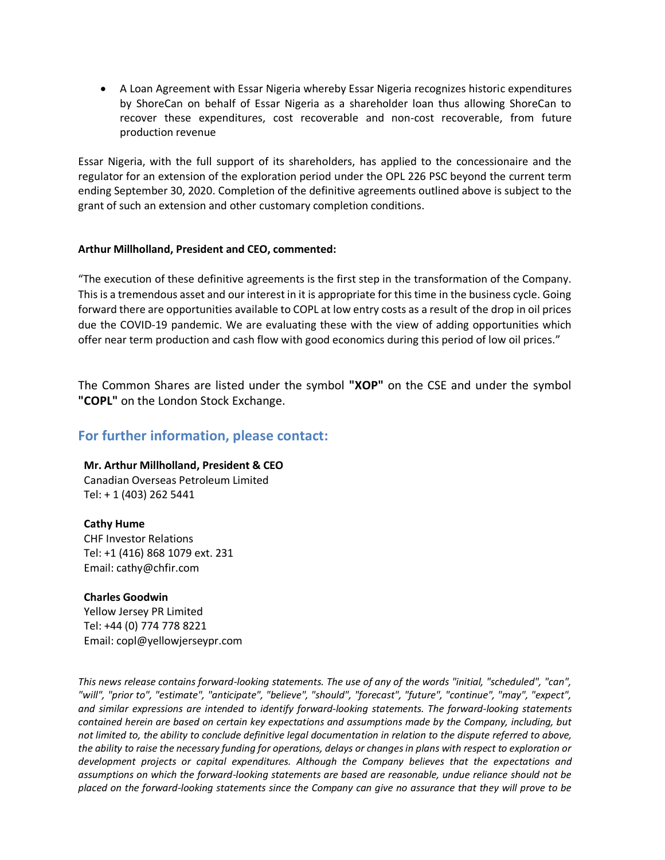• A Loan Agreement with Essar Nigeria whereby Essar Nigeria recognizes historic expenditures by ShoreCan on behalf of Essar Nigeria as a shareholder loan thus allowing ShoreCan to recover these expenditures, cost recoverable and non-cost recoverable, from future production revenue

Essar Nigeria, with the full support of its shareholders, has applied to the concessionaire and the regulator for an extension of the exploration period under the OPL 226 PSC beyond the current term ending September 30, 2020. Completion of the definitive agreements outlined above is subject to the grant of such an extension and other customary completion conditions.

## **Arthur Millholland, President and CEO, commented:**

"The execution of these definitive agreements is the first step in the transformation of the Company. This is a tremendous asset and our interest in it is appropriate for this time in the business cycle. Going forward there are opportunities available to COPL at low entry costs as a result of the drop in oil prices due the COVID-19 pandemic. We are evaluating these with the view of adding opportunities which offer near term production and cash flow with good economics during this period of low oil prices."

The Common Shares are listed under the symbol **"XOP"** on the CSE and under the symbol **"COPL"** on the London Stock Exchange.

## **For further information, please contact:**

**Mr. Arthur Millholland, President & CEO** Canadian Overseas Petroleum Limited Tel: + 1 (403) 262 5441

### **Cathy Hume**

CHF Investor Relations Tel: +1 (416) 868 1079 ext. 231 Email: cathy@chfir.com

### **Charles Goodwin**

Yellow Jersey PR Limited Tel: +44 (0) 774 778 8221 Email: copl@yellowjerseypr.com

*This news release contains forward-looking statements. The use of any of the words "initial, "scheduled", "can", "will", "prior to", "estimate", "anticipate", "believe", "should", "forecast", "future", "continue", "may", "expect", and similar expressions are intended to identify forward-looking statements. The forward-looking statements contained herein are based on certain key expectations and assumptions made by the Company, including, but not limited to, the ability to conclude definitive legal documentation in relation to the dispute referred to above, the ability to raise the necessary funding for operations, delays or changes in plans with respect to exploration or development projects or capital expenditures. Although the Company believes that the expectations and assumptions on which the forward-looking statements are based are reasonable, undue reliance should not be placed on the forward-looking statements since the Company can give no assurance that they will prove to be*